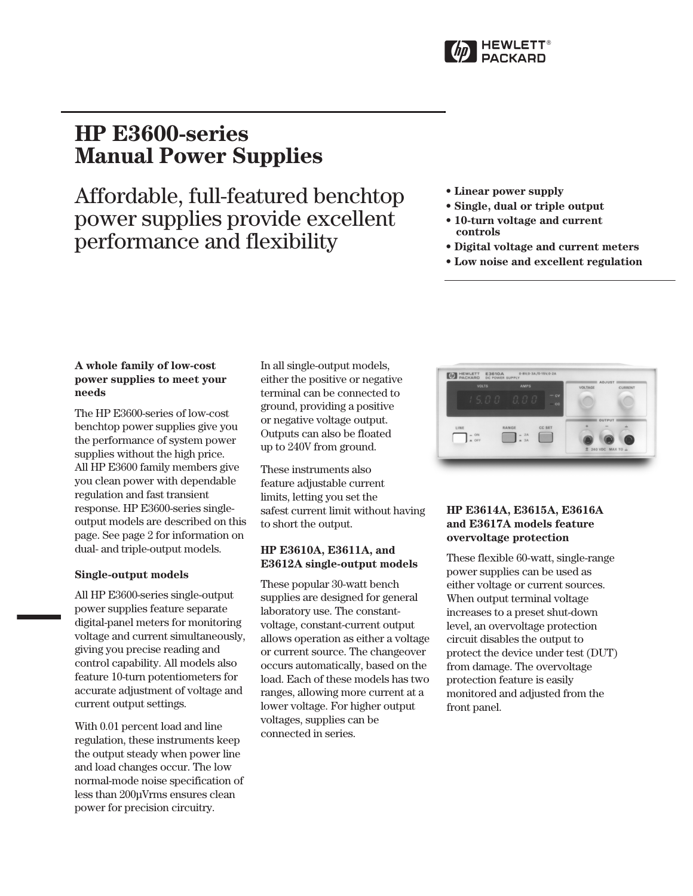

# **HP E3600-series Manual Power Supplies**

Affordable, full-featured benchtop power supplies provide excellent performance and flexibility

- **Linear power supply**
- **Single, dual or triple output**
- **10-turn voltage and current controls**
- **Digital voltage and current meters**
- **Low noise and excellent regulation**

# **A whole family of low-cost power supplies to meet your needs**

The HP E3600-series of low-cost benchtop power supplies give you the performance of system power supplies without the high price. All HP E3600 family members give you clean power with dependable regulation and fast transient response. HP E3600-series singleoutput models are described on this page. See page 2 for information on dual- and triple-output models.

# **Single-output models**

All HP E3600-series single-output power supplies feature separate digital-panel meters for monitoring voltage and current simultaneously, giving you precise reading and control capability. All models also feature 10-turn potentiometers for accurate adjustment of voltage and current output settings.

With 0.01 percent load and line regulation, these instruments keep the output steady when power line and load changes occur. The low normal-mode noise specification of less than 200µVrms ensures clean power for precision circuitry.

In all single-output models, either the positive or negative terminal can be connected to ground, providing a positive or negative voltage output. Outputs can also be floated up to 240V from ground.

These instruments also feature adjustable current limits, letting you set the safest current limit without having to short the output.

# **HP E3610A, E3611A, and E3612A single-output models**

These popular 30-watt bench supplies are designed for general laboratory use. The constantvoltage, constant-current output allows operation as either a voltage or current source. The changeover occurs automatically, based on the load. Each of these models has two ranges, allowing more current at a lower voltage. For higher output voltages, supplies can be connected in series.



# **HP E3614A, E3615A, E3616A and E3617A models feature overvoltage protection**

These flexible 60-watt, single-range power supplies can be used as either voltage or current sources. When output terminal voltage increases to a preset shut-down level, an overvoltage protection circuit disables the output to protect the device under test (DUT) from damage. The overvoltage protection feature is easily monitored and adjusted from the front panel.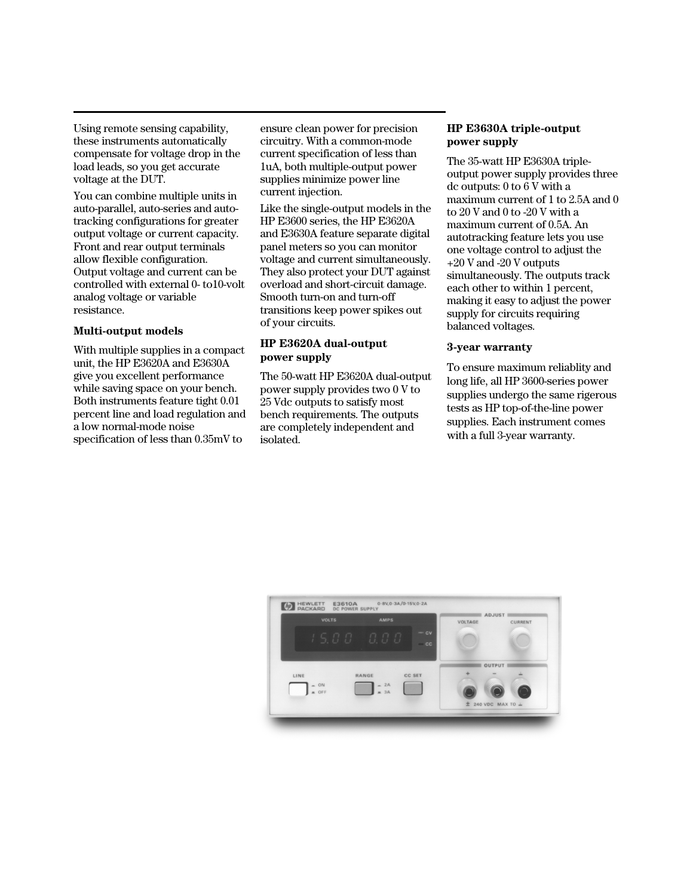Using remote sensing capability, these instruments automatically compensate for voltage drop in the load leads, so you get accurate voltage at the DUT.

You can combine multiple units in auto-parallel, auto-series and autotracking configurations for greater output voltage or current capacity. Front and rear output terminals allow flexible configuration. Output voltage and current can be controlled with external 0- to10-volt analog voltage or variable resistance.

#### **Multi-output models**

With multiple supplies in a compact unit, the HP E3620A and E3630A give you excellent performance while saving space on your bench. Both instruments feature tight 0.01 percent line and load regulation and a low normal-mode noise specification of less than 0.35mV to

ensure clean power for precision circuitry. With a common-mode current specification of less than 1uA, both multiple-output power supplies minimize power line current injection.

Like the single-output models in the HP E3600 series, the HP E3620A and E3630A feature separate digital panel meters so you can monitor voltage and current simultaneously. They also protect your DUT against overload and short-circuit damage. Smooth turn-on and turn-off transitions keep power spikes out of your circuits.

#### **HP E3620A dual-output power supply**

The 50-watt HP E3620A dual-output power supply provides two 0 V to 25 Vdc outputs to satisfy most bench requirements. The outputs are completely independent and isolated.

## **HP E3630A triple-output power supply**

The 35-watt HP E3630A tripleoutput power supply provides three dc outputs: 0 to 6 V with a maximum current of 1 to 2.5A and 0 to 20 V and 0 to -20 V with a maximum current of 0.5A. An autotracking feature lets you use one voltage control to adjust the +20 V and -20 V outputs simultaneously. The outputs track each other to within 1 percent, making it easy to adjust the power supply for circuits requiring balanced voltages.

### **3-year warranty**

To ensure maximum reliablity and long life, all HP 3600-series power supplies undergo the same rigerous tests as HP top-of-the-line power supplies. Each instrument comes with a full 3-year warranty.

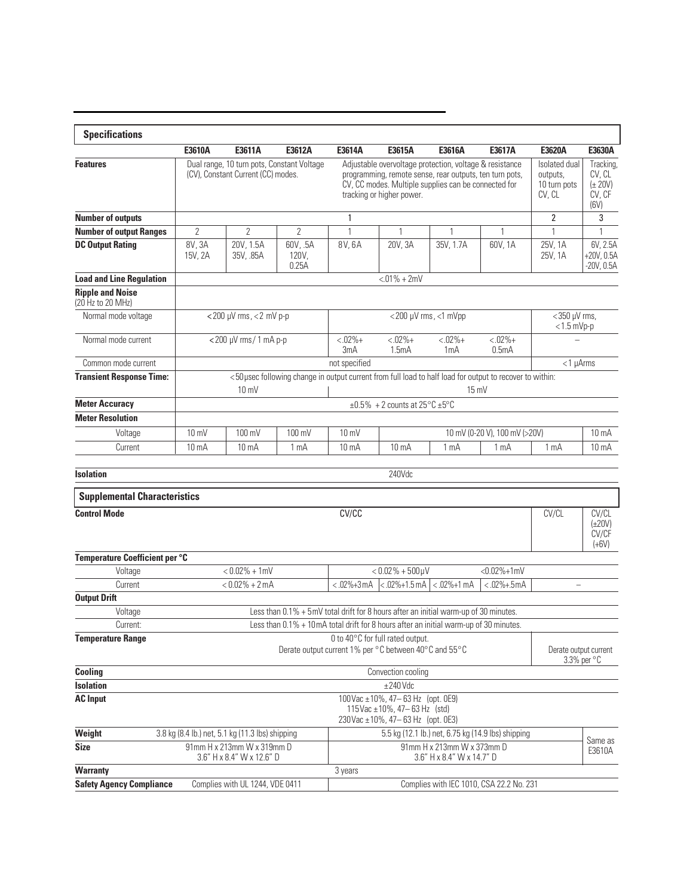| <b>Specifications</b>                        |                                                                                                                                                                               |                                                         |                                            |                                                                                                                                                                                                         |                                      |                                  |                                          |                                                     |                                                      |  |
|----------------------------------------------|-------------------------------------------------------------------------------------------------------------------------------------------------------------------------------|---------------------------------------------------------|--------------------------------------------|---------------------------------------------------------------------------------------------------------------------------------------------------------------------------------------------------------|--------------------------------------|----------------------------------|------------------------------------------|-----------------------------------------------------|------------------------------------------------------|--|
|                                              | E3610A                                                                                                                                                                        | E3611A                                                  | E3612A                                     | E3614A                                                                                                                                                                                                  | E3615A                               | E3616A                           | E3617A                                   | E3620A                                              | E3630A                                               |  |
| <b>Features</b>                              |                                                                                                                                                                               | (CV), Constant Current (CC) modes.                      | Dual range, 10 turn pots, Constant Voltage | Adjustable overvoltage protection, voltage & resistance<br>programming, remote sense, rear outputs, ten turn pots,<br>CV, CC modes. Multiple supplies can be connected for<br>tracking or higher power. |                                      |                                  |                                          | Isolated dual<br>outputs,<br>10 turn pots<br>CV, CL | Tracking,<br>CV, CL<br>$(\pm 20V)$<br>CV, CF<br>(6V) |  |
| <b>Number of outputs</b>                     |                                                                                                                                                                               |                                                         |                                            |                                                                                                                                                                                                         |                                      |                                  |                                          | $\overline{2}$                                      | 3                                                    |  |
| <b>Number of output Ranges</b>               | $\overline{2}$                                                                                                                                                                | $\overline{2}$                                          | $\overline{2}$                             | $\mathbf{1}$                                                                                                                                                                                            | 1                                    | 1                                | 1                                        | $\mathbf{1}$                                        | $\mathbf{1}$                                         |  |
| <b>DC Output Rating</b>                      | 8V, 3A<br>15V, 2A                                                                                                                                                             | 20V, 1.5A<br>35V, .85A                                  | 60V, .5A<br>120V,<br>0.25A                 | 8V, 6A                                                                                                                                                                                                  | 20V, 3A                              | 35V, 1.7A                        | 60V, 1A                                  | 25V, 1A<br>25V, 1A                                  | 6V, 2.5A<br>$+20V.0.5A$<br>$-20V, 0.5A$              |  |
| <b>Load and Line Regulation</b>              | $< 01\% + 2mV$                                                                                                                                                                |                                                         |                                            |                                                                                                                                                                                                         |                                      |                                  |                                          |                                                     |                                                      |  |
| <b>Ripple and Noise</b><br>(20 Hz to 20 MHz) |                                                                                                                                                                               |                                                         |                                            |                                                                                                                                                                                                         |                                      |                                  |                                          |                                                     |                                                      |  |
| Normal mode voltage                          | $<$ 200 µV rms, $<$ 2 mV p-p                                                                                                                                                  |                                                         |                                            |                                                                                                                                                                                                         | $<$ 200 $\mu$ V rms, $<$ 1 mVpp      | $<$ 350 µV rms,<br>$<$ 1.5 mVp-p |                                          |                                                     |                                                      |  |
| Normal mode current                          |                                                                                                                                                                               | <200 µV rms/1 mA p-p                                    |                                            | $< .02% +$<br>3mA                                                                                                                                                                                       | $< .02% +$<br>1.5mA                  | $< .02% +$<br>1 <sub>m</sub> A   | $< .02% +$<br>0.5 <sub>m</sub> A         |                                                     |                                                      |  |
| Common mode current                          | not specified<br>$<$ 1 µ $Arms$                                                                                                                                               |                                                         |                                            |                                                                                                                                                                                                         |                                      |                                  |                                          |                                                     |                                                      |  |
| <b>Transient Response Time:</b>              | <50 usec following change in output current from full load to half load for output to recover to within:                                                                      |                                                         |                                            |                                                                                                                                                                                                         |                                      |                                  |                                          |                                                     |                                                      |  |
| <b>Meter Accuracy</b>                        | $10 \text{ mV}$<br>$15 \text{ mV}$<br>$\pm 0.5\%$ + 2 counts at 25 $\degree$ C $\pm 5\degree$ C                                                                               |                                                         |                                            |                                                                                                                                                                                                         |                                      |                                  |                                          |                                                     |                                                      |  |
| <b>Meter Resolution</b>                      |                                                                                                                                                                               |                                                         |                                            |                                                                                                                                                                                                         |                                      |                                  |                                          |                                                     |                                                      |  |
| Voltage                                      | 10 mV                                                                                                                                                                         | 100 mV                                                  | 100 mV                                     | 10 mV (0-20 V), 100 mV (>20V)<br>$10 \text{ mV}$                                                                                                                                                        |                                      |                                  |                                          |                                                     | 10 <sub>m</sub> A                                    |  |
| Current                                      | 10 <sub>m</sub> A                                                                                                                                                             | 10 <sub>m</sub> A                                       | 1 mA                                       | 10 <sub>m</sub> A                                                                                                                                                                                       | 10 <sub>m</sub> A                    | 1 <sub>mA</sub>                  | 1 mA                                     | 1 mA                                                | $10 \text{ mA}$                                      |  |
|                                              |                                                                                                                                                                               |                                                         |                                            |                                                                                                                                                                                                         |                                      |                                  |                                          |                                                     |                                                      |  |
| <b>Isolation</b>                             |                                                                                                                                                                               | 240Vdc                                                  |                                            |                                                                                                                                                                                                         |                                      |                                  |                                          |                                                     |                                                      |  |
| <b>Supplemental Characteristics</b>          |                                                                                                                                                                               |                                                         |                                            |                                                                                                                                                                                                         |                                      |                                  |                                          |                                                     |                                                      |  |
| <b>Control Mode</b>                          | CV/CC                                                                                                                                                                         |                                                         |                                            |                                                                                                                                                                                                         |                                      |                                  |                                          | CV/CL                                               | CV/CL<br>$(\pm 20V)$<br>CV/CF<br>$(+6V)$             |  |
| Temperature Coefficient per °C               |                                                                                                                                                                               |                                                         |                                            |                                                                                                                                                                                                         |                                      |                                  |                                          |                                                     |                                                      |  |
| Voltage                                      | $< 0.02\% + 1mV$                                                                                                                                                              |                                                         |                                            |                                                                                                                                                                                                         | $< 0.02\% + 500 \mu V$               |                                  | $<0.02\% + 1mV$                          |                                                     |                                                      |  |
| Current                                      | $< 0.02\% + 2mA$                                                                                                                                                              |                                                         |                                            | $<.02\% + 3 \text{ mA}$                                                                                                                                                                                 | $< .02\% + 1.5$ mA $ < .02\% + 1$ mA |                                  | $<.02\% + .5mA$                          |                                                     |                                                      |  |
| <b>Output Drift</b>                          |                                                                                                                                                                               |                                                         |                                            |                                                                                                                                                                                                         |                                      |                                  |                                          |                                                     |                                                      |  |
| Voltage<br>Current:                          | Less than 0.1% + 5mV total drift for 8 hours after an initial warm-up of 30 minutes.<br>Less than 0.1% + 10mA total drift for 8 hours after an initial warm-up of 30 minutes. |                                                         |                                            |                                                                                                                                                                                                         |                                      |                                  |                                          |                                                     |                                                      |  |
| <b>Temperature Range</b>                     | 0 to 40°C for full rated output.<br>Derate output current 1% per °C between 40°C and 55°C                                                                                     |                                                         |                                            |                                                                                                                                                                                                         |                                      |                                  |                                          | Derate output current                               | $3.3\%$ per $\degree$ C                              |  |
| Cooling                                      | Convection cooling                                                                                                                                                            |                                                         |                                            |                                                                                                                                                                                                         |                                      |                                  |                                          |                                                     |                                                      |  |
| <b>Isolation</b>                             | $±240$ Vdc                                                                                                                                                                    |                                                         |                                            |                                                                                                                                                                                                         |                                      |                                  |                                          |                                                     |                                                      |  |
| <b>AC Input</b>                              | $100\sqrt{ac} \pm 10\%$ , 47-63 Hz (opt. 0E9)<br>115 Vac ± 10%, 47 - 63 Hz (std)<br>230 Vac ± 10%, 47 - 63 Hz (opt. 0E3)                                                      |                                                         |                                            |                                                                                                                                                                                                         |                                      |                                  |                                          |                                                     |                                                      |  |
| Weight                                       |                                                                                                                                                                               | 3.8 kg (8.4 lb.) net, 5.1 kg (11.3 lbs) shipping        |                                            | 5.5 kg (12.1 lb.) net, 6.75 kg (14.9 lbs) shipping                                                                                                                                                      |                                      |                                  |                                          |                                                     |                                                      |  |
| <b>Size</b>                                  |                                                                                                                                                                               | 91mm H x 213mm W x 319mm D<br>3.6" H x 8.4" W x 12.6" D |                                            | 91mm H x 213mm W x 373mm D<br>3.6" H x 8.4" W x 14.7" D                                                                                                                                                 |                                      |                                  |                                          |                                                     | Same as<br>E3610A                                    |  |
| <b>Warranty</b>                              |                                                                                                                                                                               |                                                         |                                            | 3 years                                                                                                                                                                                                 |                                      |                                  |                                          |                                                     |                                                      |  |
| <b>Safety Agency Compliance</b>              |                                                                                                                                                                               | Complies with UL 1244, VDE 0411                         |                                            |                                                                                                                                                                                                         |                                      |                                  | Complies with IEC 1010, CSA 22.2 No. 231 |                                                     |                                                      |  |